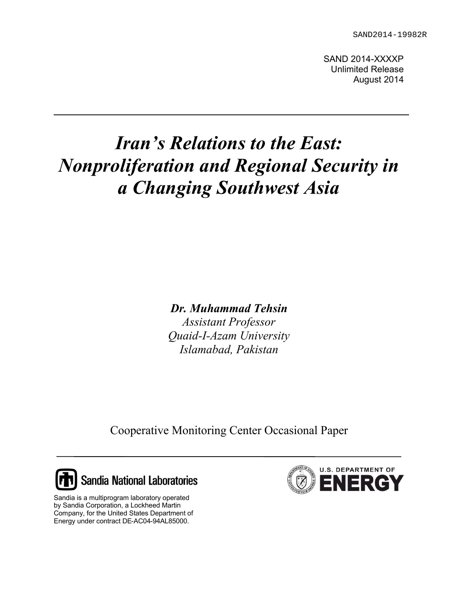SAND 2014-XXXXP Unlimited Release August 2014

# *Iran's Relations to the East: Nonproliferation and Regional Security in a Changing Southwest Asia*

*Dr. Muhammad Tehsin*

*Assistant Professor Quaid-I-Azam University Islamabad, Pakistan*

Cooperative Monitoring Center Occasional Paper



Sandia is a multiprogram laboratory operated by Sandia Corporation, a Lockheed Martin Company, for the United States Department of Energy under contract DE-AC04-94AL85000.

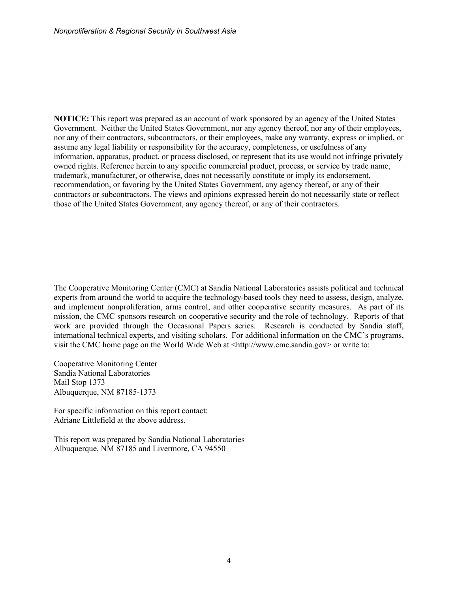**NOTICE:** This report was prepared as an account of work sponsored by an agency of the United States Government. Neither the United States Government, nor any agency thereof, nor any of their employees, nor any of their contractors, subcontractors, or their employees, make any warranty, express or implied, or assume any legal liability or responsibility for the accuracy, completeness, or usefulness of any information, apparatus, product, or process disclosed, or represent that its use would not infringe privately owned rights. Reference herein to any specific commercial product, process, or service by trade name, trademark, manufacturer, or otherwise, does not necessarily constitute or imply its endorsement, recommendation, or favoring by the United States Government, any agency thereof, or any of their contractors or subcontractors. The views and opinions expressed herein do not necessarily state or reflect those of the United States Government, any agency thereof, or any of their contractors.

The Cooperative Monitoring Center (CMC) at Sandia National Laboratories assists political and technical experts from around the world to acquire the technology-based tools they need to assess, design, analyze, and implement nonproliferation, arms control, and other cooperative security measures. As part of its mission, the CMC sponsors research on cooperative security and the role of technology. Reports of that work are provided through the Occasional Papers series. Research is conducted by Sandia staff, international technical experts, and visiting scholars. For additional information on the CMC's programs, visit the CMC home page on the World Wide Web at  $\langle \text{http://www.cmc.sandia.gov>} \text{ or write to:}$ 

Cooperative Monitoring Center Sandia National Laboratories Mail Stop 1373 Albuquerque, NM 87185-1373

For specific information on this report contact: Adriane Littlefield at the above address.

This report was prepared by Sandia National Laboratories Albuquerque, NM 87185 and Livermore, CA 94550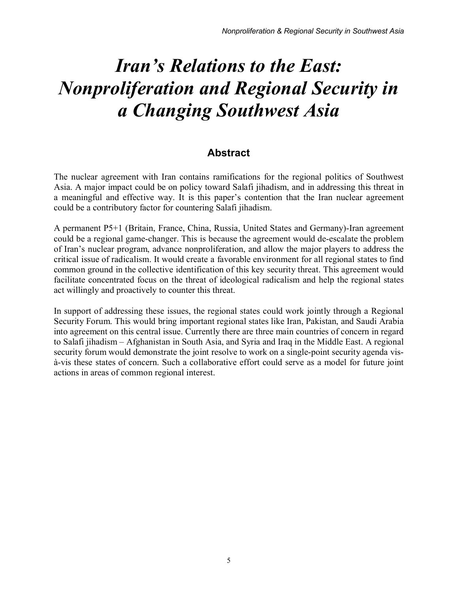# *Iran's Relations to the East: Nonproliferation and Regional Security in a Changing Southwest Asia*

## **Abstract**

<span id="page-2-0"></span>The nuclear agreement with Iran contains ramifications for the regional politics of Southwest Asia. A major impact could be on policy toward Salafi jihadism, and in addressing this threat in a meaningful and effective way. It is this paper's contention that the Iran nuclear agreement could be a contributory factor for countering Salafi jihadism.

A permanent P5+1 (Britain, France, China, Russia, United States and Germany)-Iran agreement could be a regional game-changer. This is because the agreement would de-escalate the problem of Iran's nuclear program, advance nonproliferation, and allow the major players to address the critical issue of radicalism. It would create a favorable environment for all regional states to find common ground in the collective identification of this key security threat. This agreement would facilitate concentrated focus on the threat of ideological radicalism and help the regional states act willingly and proactively to counter this threat.

In support of addressing these issues, the regional states could work jointly through a Regional Security Forum. This would bring important regional states like Iran, Pakistan, and Saudi Arabia into agreement on this central issue. Currently there are three main countries of concern in regard to Salafi jihadism – Afghanistan in South Asia, and Syria and Iraq in the Middle East. A regional security forum would demonstrate the joint resolve to work on a single-point security agenda visà-vis these states of concern. Such a collaborative effort could serve as a model for future joint actions in areas of common regional interest.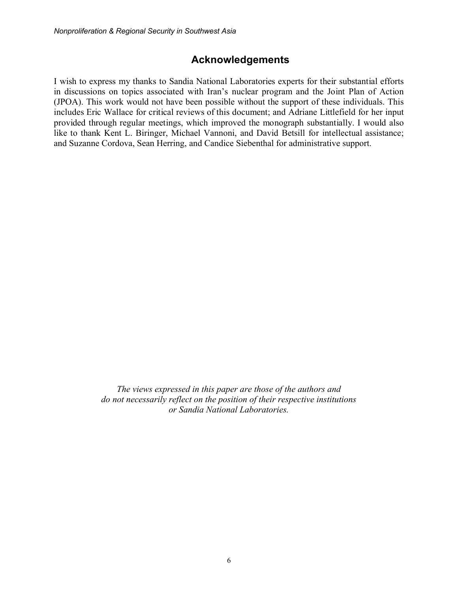### **Acknowledgements**

I wish to express my thanks to Sandia National Laboratories experts for their substantial efforts in discussions on topics associated with Iran's nuclear program and the Joint Plan of Action (JPOA). This work would not have been possible without the support of these individuals. This includes Eric Wallace for critical reviews of this document; and Adriane Littlefield for her input provided through regular meetings, which improved the monograph substantially. I would also like to thank Kent L. Biringer, Michael Vannoni, and David Betsill for intellectual assistance; and Suzanne Cordova, Sean Herring, and Candice Siebenthal for administrative support.

> *The views expressed in this paper are those of the authors and do not necessarily reflect on the position of their respective institutions or Sandia National Laboratories.*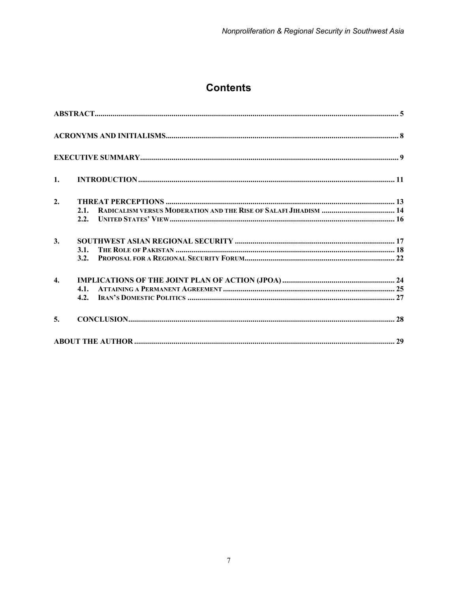# **Contents**

| 1.               |      |  |
|------------------|------|--|
| 2.               |      |  |
|                  | 2.1. |  |
|                  | 2.2. |  |
| 3.               |      |  |
|                  | 3.1. |  |
|                  | 3.2. |  |
| $\overline{4}$ . |      |  |
|                  |      |  |
|                  | 4.2. |  |
| 5.               |      |  |
|                  |      |  |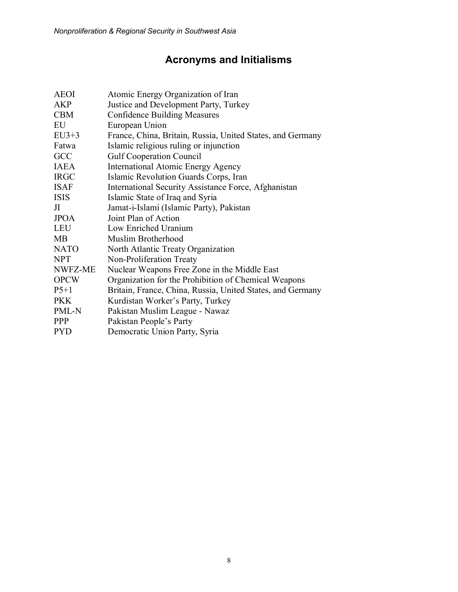# **Acronyms and Initialisms**

<span id="page-5-0"></span>

| <b>AEOI</b> | Atomic Energy Organization of Iran                         |
|-------------|------------------------------------------------------------|
| <b>AKP</b>  | Justice and Development Party, Turkey                      |
| <b>CBM</b>  | <b>Confidence Building Measures</b>                        |
| EU          | European Union                                             |
| $EU3+3$     | France, China, Britain, Russia, United States, and Germany |
| Fatwa       | Islamic religious ruling or injunction                     |
| GCC         | <b>Gulf Cooperation Council</b>                            |
| <b>IAEA</b> | <b>International Atomic Energy Agency</b>                  |
| <b>IRGC</b> | Islamic Revolution Guards Corps, Iran                      |
| <b>ISAF</b> | International Security Assistance Force, Afghanistan       |
| <b>ISIS</b> | Islamic State of Iraq and Syria                            |
| Л           | Jamat-i-Islami (Islamic Party), Pakistan                   |
| <b>JPOA</b> | Joint Plan of Action                                       |
| <b>LEU</b>  | Low Enriched Uranium                                       |
| <b>MB</b>   | Muslim Brotherhood                                         |
| <b>NATO</b> | North Atlantic Treaty Organization                         |
| <b>NPT</b>  | Non-Proliferation Treaty                                   |
| NWFZ-ME     | Nuclear Weapons Free Zone in the Middle East               |
| <b>OPCW</b> | Organization for the Prohibition of Chemical Weapons       |
| $P5+1$      | Britain, France, China, Russia, United States, and Germany |
| <b>PKK</b>  | Kurdistan Worker's Party, Turkey                           |
| PML-N       | Pakistan Muslim League - Nawaz                             |
| <b>PPP</b>  | Pakistan People's Party                                    |
| <b>PYD</b>  | Democratic Union Party, Syria                              |
|             |                                                            |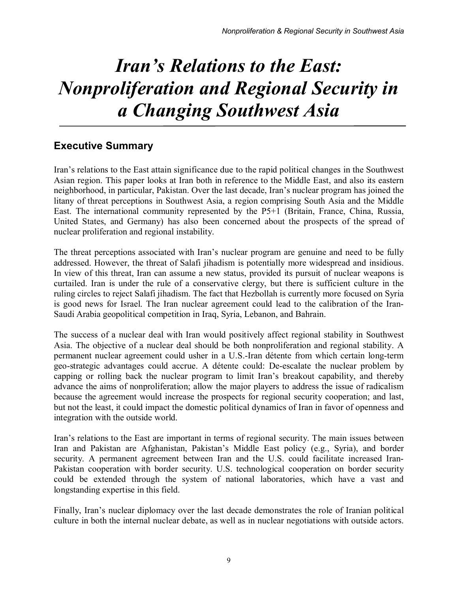# *Iran's Relations to the East: Nonproliferation and Regional Security in a Changing Southwest Asia*

## <span id="page-6-0"></span>**Executive Summary**

Iran's relations to the East attain significance due to the rapid political changes in the Southwest Asian region. This paper looks at Iran both in reference to the Middle East, and also its eastern neighborhood, in particular, Pakistan. Over the last decade, Iran's nuclear program has joined the litany of threat perceptions in Southwest Asia, a region comprising South Asia and the Middle East. The international community represented by the P5+1 (Britain, France, China, Russia, United States, and Germany) has also been concerned about the prospects of the spread of nuclear proliferation and regional instability.

The threat perceptions associated with Iran's nuclear program are genuine and need to be fully addressed. However, the threat of Salafi jihadism is potentially more widespread and insidious. In view of this threat, Iran can assume a new status, provided its pursuit of nuclear weapons is curtailed. Iran is under the rule of a conservative clergy, but there is sufficient culture in the ruling circles to reject Salafi jihadism. The fact that Hezbollah is currently more focused on Syria is good news for Israel. The Iran nuclear agreement could lead to the calibration of the Iran-Saudi Arabia geopolitical competition in Iraq, Syria, Lebanon, and Bahrain.

The success of a nuclear deal with Iran would positively affect regional stability in Southwest Asia. The objective of a nuclear deal should be both nonproliferation and regional stability. A permanent nuclear agreement could usher in a U.S.-Iran détente from which certain long-term geo-strategic advantages could accrue. A détente could: De-escalate the nuclear problem by capping or rolling back the nuclear program to limit Iran's breakout capability, and thereby advance the aims of nonproliferation; allow the major players to address the issue of radicalism because the agreement would increase the prospects for regional security cooperation; and last, but not the least, it could impact the domestic political dynamics of Iran in favor of openness and integration with the outside world.

Iran's relations to the East are important in terms of regional security. The main issues between Iran and Pakistan are Afghanistan, Pakistan's Middle East policy (e.g., Syria), and border security. A permanent agreement between Iran and the U.S. could facilitate increased Iran-Pakistan cooperation with border security. U.S. technological cooperation on border security could be extended through the system of national laboratories, which have a vast and longstanding expertise in this field.

Finally, Iran's nuclear diplomacy over the last decade demonstrates the role of Iranian political culture in both the internal nuclear debate, as well as in nuclear negotiations with outside actors.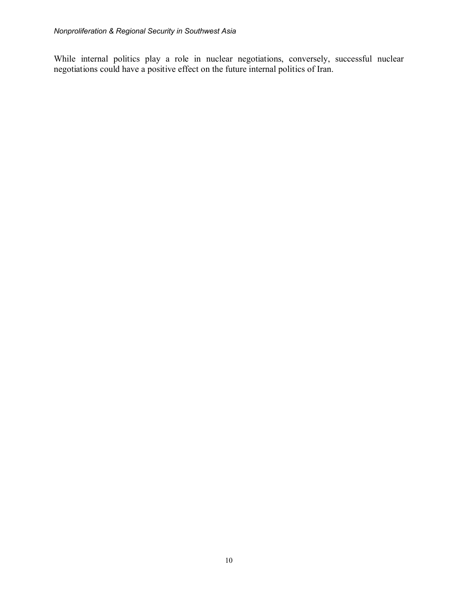While internal politics play a role in nuclear negotiations, conversely, successful nuclear negotiations could have a positive effect on the future internal politics of Iran.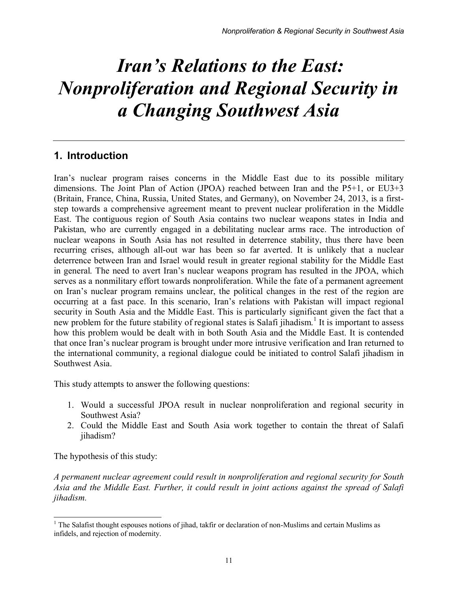# *Iran's Relations to the East: Nonproliferation and Regional Security in a Changing Southwest Asia*

## <span id="page-8-0"></span>**1. Introduction**

Iran's nuclear program raises concerns in the Middle East due to its possible military dimensions. The Joint Plan of Action (JPOA) reached between Iran and the P5+1, or EU3+3 (Britain, France, China, Russia, United States, and Germany), on November 24, 2013, is a firststep towards a comprehensive agreement meant to prevent nuclear proliferation in the Middle East. The contiguous region of South Asia contains two nuclear weapons states in India and Pakistan, who are currently engaged in a debilitating nuclear arms race. The introduction of nuclear weapons in South Asia has not resulted in deterrence stability, thus there have been recurring crises, although all-out war has been so far averted. It is unlikely that a nuclear deterrence between Iran and Israel would result in greater regional stability for the Middle East in general. The need to avert Iran's nuclear weapons program has resulted in the JPOA, which serves as a nonmilitary effort towards nonproliferation. While the fate of a permanent agreement on Iran's nuclear program remains unclear, the political changes in the rest of the region are occurring at a fast pace. In this scenario, Iran's relations with Pakistan will impact regional security in South Asia and the Middle East. This is particularly significant given the fact that a new problem for the future stability of regional states is Salafi jihadism.<sup>[1](#page-8-1)</sup> It is important to assess how this problem would be dealt with in both South Asia and the Middle East. It is contended that once Iran's nuclear program is brought under more intrusive verification and Iran returned to the international community, a regional dialogue could be initiated to control Salafi jihadism in Southwest Asia.

This study attempts to answer the following questions:

- 1. Would a successful JPOA result in nuclear nonproliferation and regional security in Southwest Asia?
- 2. Could the Middle East and South Asia work together to contain the threat of Salafi jihadism?

The hypothesis of this study:

 $\overline{\phantom{a}}$ 

*A permanent nuclear agreement could result in nonproliferation and regional security for South Asia and the Middle East. Further, it could result in joint actions against the spread of Salafi jihadism.* 

<span id="page-8-1"></span> $<sup>1</sup>$  The Salafist thought espouses notions of jihad, takfir or declaration of non-Muslims and certain Muslims as</sup> infidels, and rejection of modernity.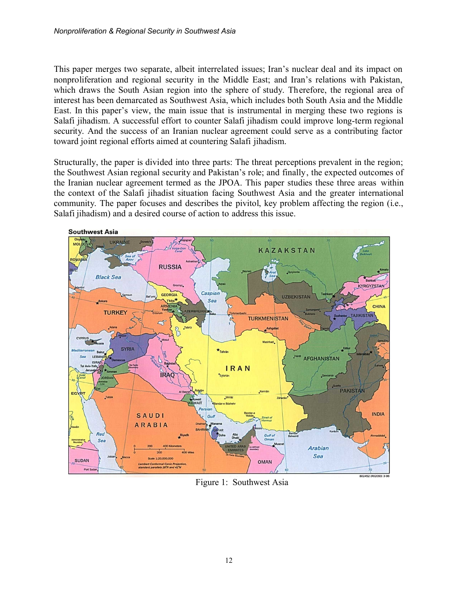This paper merges two separate, albeit interrelated issues; Iran's nuclear deal and its impact on nonproliferation and regional security in the Middle East; and Iran's relations with Pakistan, which draws the South Asian region into the sphere of study. Therefore, the regional area of interest has been demarcated as Southwest Asia, which includes both South Asia and the Middle East. In this paper's view, the main issue that is instrumental in merging these two regions is Salafi jihadism. A successful effort to counter Salafi jihadism could improve long-term regional security. And the success of an Iranian nuclear agreement could serve as a contributing factor toward joint regional efforts aimed at countering Salafi jihadism.

Structurally, the paper is divided into three parts: The threat perceptions prevalent in the region; the Southwest Asian regional security and Pakistan's role; and finally, the expected outcomes of the Iranian nuclear agreement termed as the JPOA. This paper studies these three areas within the context of the Salafi jihadist situation facing Southwest Asia and the greater international community. The paper focuses and describes the pivitol, key problem affecting the region (i.e., Salafi jihadism) and a desired course of action to address this issue.



Figure 1: Southwest Asia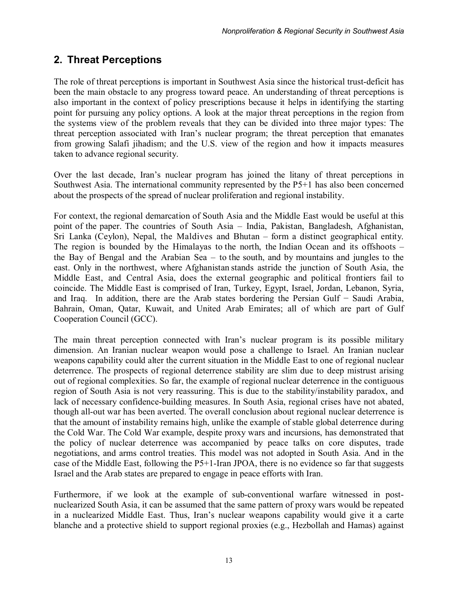## <span id="page-10-0"></span>**2. Threat Perceptions**

The role of threat perceptions is important in Southwest Asia since the historical trust-deficit has been the main obstacle to any progress toward peace. An understanding of threat perceptions is also important in the context of policy prescriptions because it helps in identifying the starting point for pursuing any policy options. A look at the major threat perceptions in the region from the systems view of the problem reveals that they can be divided into three major types: The threat perception associated with Iran's nuclear program; the threat perception that emanates from growing Salafi jihadism; and the U.S. view of the region and how it impacts measures taken to advance regional security.

Over the last decade, Iran's nuclear program has joined the litany of threat perceptions in Southwest Asia. The international community represented by the P5+1 has also been concerned about the prospects of the spread of nuclear proliferation and regional instability.

For context, the regional demarcation of South Asia and the Middle East would be useful at this point of the paper. The countries of South Asia – India, Pakistan, Bangladesh, Afghanistan, Sri Lanka (Ceylon), Nepal, the Maldives and Bhutan – form a distinct geographical entity. The region is bounded by the Himalayas to the north, the Indian Ocean and its offshoots – the Bay of Bengal and the Arabian Sea – to the south, and by mountains and jungles to the east. Only in the northwest, where Afghanistan stands astride the junction of South Asia, the Middle East, and Central Asia, does the external geographic and political frontiers fail to coincide. The Middle East is comprised of Iran, Turkey, Egypt, Israel, Jordan, Lebanon, Syria, and Iraq. In addition, there are the Arab states bordering the Persian Gulf − Saudi Arabia, Bahrain, Oman, Qatar, Kuwait, and United Arab Emirates; all of which are part of Gulf Cooperation Council (GCC).

The main threat perception connected with Iran's nuclear program is its possible military dimension. An Iranian nuclear weapon would pose a challenge to Israel. An Iranian nuclear weapons capability could alter the current situation in the Middle East to one of regional nuclear deterrence. The prospects of regional deterrence stability are slim due to deep mistrust arising out of regional complexities. So far, the example of regional nuclear deterrence in the contiguous region of South Asia is not very reassuring. This is due to the stability/instability paradox, and lack of necessary confidence-building measures. In South Asia, regional crises have not abated, though all-out war has been averted. The overall conclusion about regional nuclear deterrence is that the amount of instability remains high, unlike the example of stable global deterrence during the Cold War. The Cold War example, despite proxy wars and incursions, has demonstrated that the policy of nuclear deterrence was accompanied by peace talks on core disputes, trade negotiations, and arms control treaties. This model was not adopted in South Asia. And in the case of the Middle East, following the P5+1-Iran JPOA, there is no evidence so far that suggests Israel and the Arab states are prepared to engage in peace efforts with Iran.

Furthermore, if we look at the example of sub-conventional warfare witnessed in postnuclearized South Asia, it can be assumed that the same pattern of proxy wars would be repeated in a nuclearized Middle East. Thus, Iran's nuclear weapons capability would give it a carte blanche and a protective shield to support regional proxies (e.g., Hezbollah and Hamas) against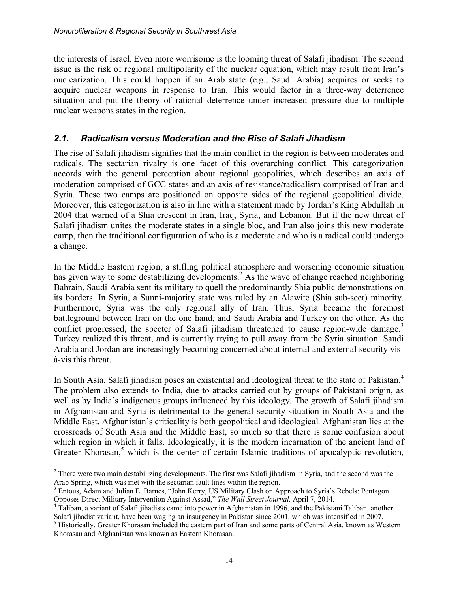the interests of Israel. Even more worrisome is the looming threat of Salafi jihadism. The second issue is the risk of regional multipolarity of the nuclear equation, which may result from Iran's nuclearization. This could happen if an Arab state (e.g., Saudi Arabia) acquires or seeks to acquire nuclear weapons in response to Iran. This would factor in a three-way deterrence situation and put the theory of rational deterrence under increased pressure due to multiple nuclear weapons states in the region.

#### <span id="page-11-0"></span>*2.1. Radicalism versus Moderation and the Rise of Salafi Jihadism*

The rise of Salafi jihadism signifies that the main conflict in the region is between moderates and radicals. The sectarian rivalry is one facet of this overarching conflict. This categorization accords with the general perception about regional geopolitics, which describes an axis of moderation comprised of GCC states and an axis of resistance/radicalism comprised of Iran and Syria. These two camps are positioned on opposite sides of the regional geopolitical divide. Moreover, this categorization is also in line with a statement made by Jordan's King Abdullah in 2004 that warned of a Shia crescent in Iran, Iraq, Syria, and Lebanon. But if the new threat of Salafi jihadism unites the moderate states in a single bloc, and Iran also joins this new moderate camp, then the traditional configuration of who is a moderate and who is a radical could undergo a change.

In the Middle Eastern region, a stifling political atmosphere and worsening economic situation has given way to some destabilizing developments.<sup>[2](#page-11-1)</sup> As the wave of change reached neighboring Bahrain, Saudi Arabia sent its military to quell the predominantly Shia public demonstrations on its borders. In Syria, a Sunni-majority state was ruled by an Alawite (Shia sub-sect) minority. Furthermore, Syria was the only regional ally of Iran. Thus, Syria became the foremost battleground between Iran on the one hand, and Saudi Arabia and Turkey on the other. As the conflict progressed, the specter of Salafi jihadism threatened to cause region-wide damage.<sup>[3](#page-11-2)</sup> Turkey realized this threat, and is currently trying to pull away from the Syria situation. Saudi Arabia and Jordan are increasingly becoming concerned about internal and external security visà-vis this threat.

In South Asia, Salafi jihadism poses an existential and ideological threat to the state of Pakistan.<sup>[4](#page-11-3)</sup> The problem also extends to India, due to attacks carried out by groups of Pakistani origin, as well as by India's indigenous groups influenced by this ideology. The growth of Salafi jihadism in Afghanistan and Syria is detrimental to the general security situation in South Asia and the Middle East. Afghanistan's criticality is both geopolitical and ideological. Afghanistan lies at the crossroads of South Asia and the Middle East, so much so that there is some confusion about which region in which it falls. Ideologically, it is the modern incarnation of the ancient land of Greater Khorasan,<sup>[5](#page-11-4)</sup> which is the center of certain Islamic traditions of apocalyptic revolution,

<span id="page-11-1"></span> $\overline{a}$  $2<sup>2</sup>$  There were two main destabilizing developments. The first was Salafi jihadism in Syria, and the second was the Arab Spring, which was met with the sectarian fault lines within the region.

<span id="page-11-2"></span><sup>&</sup>lt;sup>3</sup> Entous, Adam and Julian E. Barnes, "John Kerry, US Military Clash on Approach to Syria's Rebels: Pentagon Opposes Direct Military Intervention Against Assad," *The Wall Street Journal,* April 7, 2014.

<span id="page-11-3"></span><sup>4</sup> Taliban, a variant of Salafi jihadists came into power in Afghanistan in 1996, and the Pakistani Taliban, another Salafi jihadist variant, have been waging an insurgency in Pakistan since 2001, which was intensified in 2007.

<span id="page-11-4"></span><sup>&</sup>lt;sup>5</sup> Historically, Greater Khorasan included the eastern part of Iran and some parts of Central Asia, known as Western Khorasan and Afghanistan was known as Eastern Khorasan.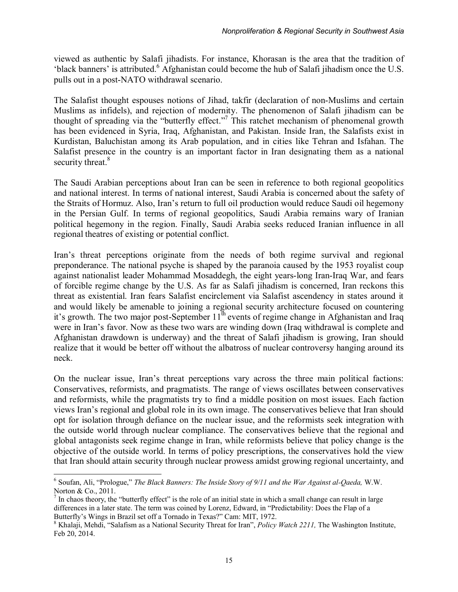viewed as authentic by Salafi jihadists. For instance, Khorasan is the area that the tradition of 'black banners' is attributed.<sup>[6](#page-12-0)</sup> Afghanistan could become the hub of Salafi jihadism once the U.S. pulls out in a post-NATO withdrawal scenario.

The Salafist thought espouses notions of Jihad, takfir (declaration of non-Muslims and certain Muslims as infidels), and rejection of modernity. The phenomenon of Salafi jihadism can be thought of spreading via the "butterfly effect."<sup>[7](#page-12-1)</sup> This ratchet mechanism of phenomenal growth has been evidenced in Syria, Iraq, Afghanistan, and Pakistan. Inside Iran, the Salafists exist in Kurdistan, Baluchistan among its Arab population, and in cities like Tehran and Isfahan. The Salafist presence in the country is an important factor in Iran designating them as a national security threat.<sup>[8](#page-12-2)</sup>

The Saudi Arabian perceptions about Iran can be seen in reference to both regional geopolitics and national interest. In terms of national interest, Saudi Arabia is concerned about the safety of the Straits of Hormuz. Also, Iran's return to full oil production would reduce Saudi oil hegemony in the Persian Gulf. In terms of regional geopolitics, Saudi Arabia remains wary of Iranian political hegemony in the region. Finally, Saudi Arabia seeks reduced Iranian influence in all regional theatres of existing or potential conflict.

Iran's threat perceptions originate from the needs of both regime survival and regional preponderance. The national psyche is shaped by the paranoia caused by the 1953 royalist coup against nationalist leader Mohammad Mosaddegh, the eight years-long Iran-Iraq War, and fears of forcible regime change by the U.S. As far as Salafi jihadism is concerned, Iran reckons this threat as existential. Iran fears Salafist encirclement via Salafist ascendency in states around it and would likely be amenable to joining a regional security architecture focused on countering it's growth. The two major post-September  $11<sup>th</sup>$  events of regime change in Afghanistan and Iraq were in Iran's favor. Now as these two wars are winding down (Iraq withdrawal is complete and Afghanistan drawdown is underway) and the threat of Salafi jihadism is growing, Iran should realize that it would be better off without the albatross of nuclear controversy hanging around its neck.

On the nuclear issue, Iran's threat perceptions vary across the three main political factions: Conservatives, reformists, and pragmatists. The range of views oscillates between conservatives and reformists, while the pragmatists try to find a middle position on most issues. Each faction views Iran's regional and global role in its own image. The conservatives believe that Iran should opt for isolation through defiance on the nuclear issue, and the reformists seek integration with the outside world through nuclear compliance. The conservatives believe that the regional and global antagonists seek regime change in Iran, while reformists believe that policy change is the objective of the outside world. In terms of policy prescriptions, the conservatives hold the view that Iran should attain security through nuclear prowess amidst growing regional uncertainty, and

<span id="page-12-0"></span><sup>6</sup> Soufan, Ali, "Prologue," *The Black Banners: The Inside Story of 9/11 and the War Against al-Qaeda,* W.W. Norton & Co., 2011.

<span id="page-12-1"></span> $<sup>7</sup>$  In chaos theory, the "butterfly effect" is the role of an initial state in which a small change can result in large</sup> differences in a later state. The term was coined by Lorenz, Edward, in "Predictability: Does the Flap of a Butterfly's Wings in Brazil set off a Tornado in Texas?" Cam: MIT, 1972.

<span id="page-12-2"></span><sup>&</sup>lt;sup>8</sup> Khalaji, Mehdi, "Salafism as a National Security Threat for Iran", *Policy Watch 2211*, The Washington Institute, Feb 20, 2014.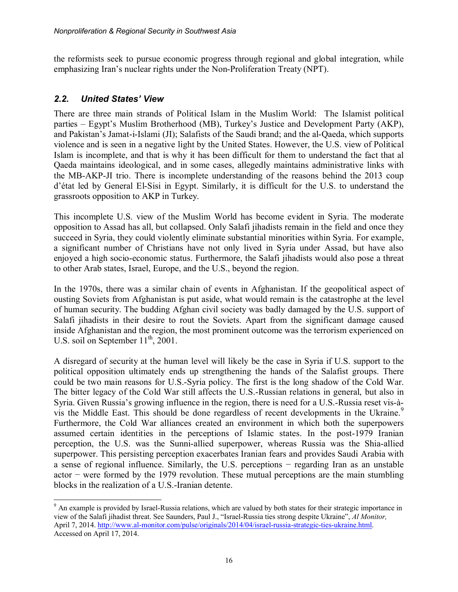the reformists seek to pursue economic progress through regional and global integration, while emphasizing Iran's nuclear rights under the Non-Proliferation Treaty (NPT).

#### <span id="page-13-0"></span>*2.2. United States' View*

 $\overline{\phantom{a}}$ 

There are three main strands of Political Islam in the Muslim World: The Islamist political parties – Egypt's Muslim Brotherhood (MB), Turkey's Justice and Development Party (AKP), and Pakistan's Jamat-i-Islami (JI); Salafists of the Saudi brand; and the al-Qaeda, which supports violence and is seen in a negative light by the United States. However, the U.S. view of Political Islam is incomplete, and that is why it has been difficult for them to understand the fact that al Qaeda maintains ideological, and in some cases, allegedly maintains administrative links with the MB-AKP-JI trio. There is incomplete understanding of the reasons behind the 2013 coup d'état led by General El-Sisi in Egypt. Similarly, it is difficult for the U.S. to understand the grassroots opposition to AKP in Turkey.

This incomplete U.S. view of the Muslim World has become evident in Syria. The moderate opposition to Assad has all, but collapsed. Only Salafi jihadists remain in the field and once they succeed in Syria, they could violently eliminate substantial minorities within Syria. For example, a significant number of Christians have not only lived in Syria under Assad, but have also enjoyed a high socio-economic status. Furthermore, the Salafi jihadists would also pose a threat to other Arab states, Israel, Europe, and the U.S., beyond the region.

In the 1970s, there was a similar chain of events in Afghanistan. If the geopolitical aspect of ousting Soviets from Afghanistan is put aside, what would remain is the catastrophe at the level of human security. The budding Afghan civil society was badly damaged by the U.S. support of Salafi jihadists in their desire to rout the Soviets. Apart from the significant damage caused inside Afghanistan and the region, the most prominent outcome was the terrorism experienced on U.S. soil on September  $11^{th}$ , 2001.

A disregard of security at the human level will likely be the case in Syria if U.S. support to the political opposition ultimately ends up strengthening the hands of the Salafist groups. There could be two main reasons for U.S.-Syria policy. The first is the long shadow of the Cold War. The bitter legacy of the Cold War still affects the U.S.-Russian relations in general, but also in Syria. Given Russia's growing influence in the region, there is need for a U.S.-Russia reset vis-à-vis the Middle East. This should be done regardless of recent developments in the Ukraine.<sup>[9](#page-13-1)</sup> Furthermore, the Cold War alliances created an environment in which both the superpowers assumed certain identities in the perceptions of Islamic states. In the post-1979 Iranian perception, the U.S. was the Sunni-allied superpower, whereas Russia was the Shia-allied superpower. This persisting perception exacerbates Iranian fears and provides Saudi Arabia with a sense of regional influence. Similarly, the U.S. perceptions − regarding Iran as an unstable actor − were formed by the 1979 revolution. These mutual perceptions are the main stumbling blocks in the realization of a U.S.-Iranian detente.

<span id="page-13-1"></span> $9<sup>9</sup>$  An example is provided by Israel-Russia relations, which are valued by both states for their strategic importance in view of the Salafi jihadist threat. See Saunders, Paul J., "Israel-Russia ties strong despite Ukraine", *Al Monitor,* April 7, 2014[. http://www.al-monitor.com/pulse/originals/2014/04/israel-russia-strategic-ties-ukraine.html.](http://www.al-monitor.com/pulse/originals/2014/04/israel-russia-strategic-ties-ukraine.html)  Accessed on April 17, 2014.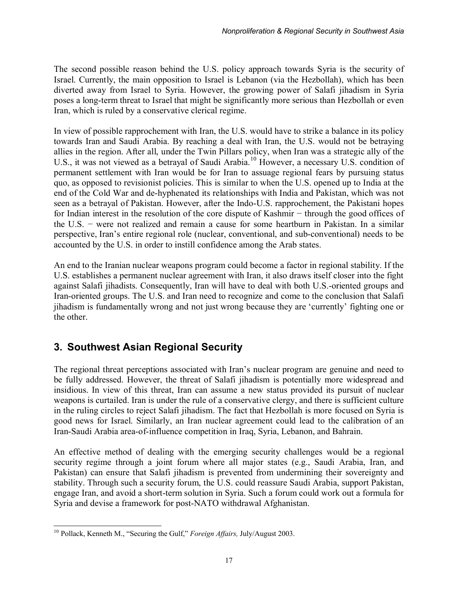The second possible reason behind the U.S. policy approach towards Syria is the security of Israel. Currently, the main opposition to Israel is Lebanon (via the Hezbollah), which has been diverted away from Israel to Syria. However, the growing power of Salafi jihadism in Syria poses a long-term threat to Israel that might be significantly more serious than Hezbollah or even Iran, which is ruled by a conservative clerical regime.

In view of possible rapprochement with Iran, the U.S. would have to strike a balance in its policy towards Iran and Saudi Arabia. By reaching a deal with Iran, the U.S. would not be betraying allies in the region. After all, under the Twin Pillars policy, when Iran was a strategic ally of the U.S., it was not viewed as a betrayal of Saudi Arabia.<sup>[10](#page-14-1)</sup> However, a necessary U.S. condition of permanent settlement with Iran would be for Iran to assuage regional fears by pursuing status quo, as opposed to revisionist policies. This is similar to when the U.S. opened up to India at the end of the Cold War and de-hyphenated its relationships with India and Pakistan, which was not seen as a betrayal of Pakistan. However, after the Indo-U.S. rapprochement, the Pakistani hopes for Indian interest in the resolution of the core dispute of Kashmir − through the good offices of the U.S. − were not realized and remain a cause for some heartburn in Pakistan. In a similar perspective, Iran's entire regional role (nuclear, conventional, and sub-conventional) needs to be accounted by the U.S. in order to instill confidence among the Arab states.

An end to the Iranian nuclear weapons program could become a factor in regional stability. If the U.S. establishes a permanent nuclear agreement with Iran, it also draws itself closer into the fight against Salafi jihadists. Consequently, Iran will have to deal with both U.S.-oriented groups and Iran-oriented groups. The U.S. and Iran need to recognize and come to the conclusion that Salafi jihadism is fundamentally wrong and not just wrong because they are 'currently' fighting one or the other.

# <span id="page-14-0"></span>**3. Southwest Asian Regional Security**

The regional threat perceptions associated with Iran's nuclear program are genuine and need to be fully addressed. However, the threat of Salafi jihadism is potentially more widespread and insidious. In view of this threat, Iran can assume a new status provided its pursuit of nuclear weapons is curtailed. Iran is under the rule of a conservative clergy, and there is sufficient culture in the ruling circles to reject Salafi jihadism. The fact that Hezbollah is more focused on Syria is good news for Israel. Similarly, an Iran nuclear agreement could lead to the calibration of an Iran-Saudi Arabia area-of-influence competition in Iraq, Syria, Lebanon, and Bahrain.

An effective method of dealing with the emerging security challenges would be a regional security regime through a joint forum where all major states (e.g., Saudi Arabia, Iran, and Pakistan) can ensure that Salafi jihadism is prevented from undermining their sovereignty and stability. Through such a security forum, the U.S. could reassure Saudi Arabia, support Pakistan, engage Iran, and avoid a short-term solution in Syria. Such a forum could work out a formula for Syria and devise a framework for post-NATO withdrawal Afghanistan.

<span id="page-14-1"></span> $\overline{\phantom{a}}$ <sup>10</sup> Pollack, Kenneth M., "Securing the Gulf," *Foreign Affairs,* July/August 2003.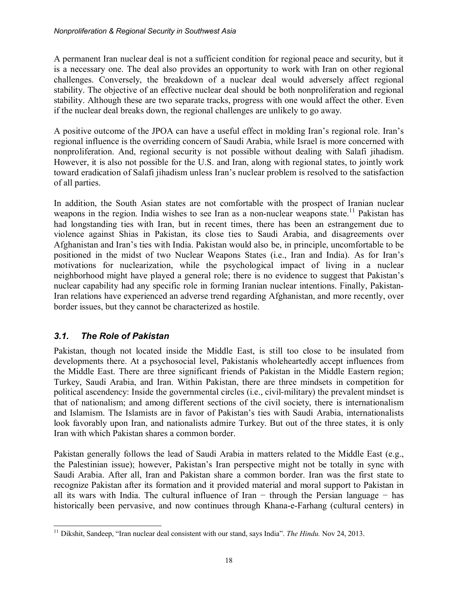A permanent Iran nuclear deal is not a sufficient condition for regional peace and security, but it is a necessary one. The deal also provides an opportunity to work with Iran on other regional challenges. Conversely, the breakdown of a nuclear deal would adversely affect regional stability. The objective of an effective nuclear deal should be both nonproliferation and regional stability. Although these are two separate tracks, progress with one would affect the other. Even if the nuclear deal breaks down, the regional challenges are unlikely to go away.

A positive outcome of the JPOA can have a useful effect in molding Iran's regional role. Iran's regional influence is the overriding concern of Saudi Arabia, while Israel is more concerned with nonproliferation. And, regional security is not possible without dealing with Salafi jihadism. However, it is also not possible for the U.S. and Iran, along with regional states, to jointly work toward eradication of Salafi jihadism unless Iran's nuclear problem is resolved to the satisfaction of all parties.

In addition, the South Asian states are not comfortable with the prospect of Iranian nuclear weapons in the region. India wishes to see Iran as a non-nuclear weapons state.<sup>[11](#page-15-1)</sup> Pakistan has had longstanding ties with Iran, but in recent times, there has been an estrangement due to violence against Shias in Pakistan, its close ties to Saudi Arabia, and disagreements over Afghanistan and Iran's ties with India. Pakistan would also be, in principle, uncomfortable to be positioned in the midst of two Nuclear Weapons States (i.e., Iran and India). As for Iran's motivations for nuclearization, while the psychological impact of living in a nuclear neighborhood might have played a general role; there is no evidence to suggest that Pakistan's nuclear capability had any specific role in forming Iranian nuclear intentions. Finally, Pakistan-Iran relations have experienced an adverse trend regarding Afghanistan, and more recently, over border issues, but they cannot be characterized as hostile.

#### <span id="page-15-0"></span>*3.1. The Role of Pakistan*

Pakistan, though not located inside the Middle East, is still too close to be insulated from developments there. At a psychosocial level, Pakistanis wholeheartedly accept influences from the Middle East. There are three significant friends of Pakistan in the Middle Eastern region; Turkey, Saudi Arabia, and Iran. Within Pakistan, there are three mindsets in competition for political ascendency: Inside the governmental circles (i.e., civil-military) the prevalent mindset is that of nationalism; and among different sections of the civil society, there is internationalism and Islamism. The Islamists are in favor of Pakistan's ties with Saudi Arabia, internationalists look favorably upon Iran, and nationalists admire Turkey. But out of the three states, it is only Iran with which Pakistan shares a common border.

Pakistan generally follows the lead of Saudi Arabia in matters related to the Middle East (e.g., the Palestinian issue); however, Pakistan's Iran perspective might not be totally in sync with Saudi Arabia. After all, Iran and Pakistan share a common border. Iran was the first state to recognize Pakistan after its formation and it provided material and moral support to Pakistan in all its wars with India. The cultural influence of Iran − through the Persian language − has historically been pervasive, and now continues through Khana-e-Farhang (cultural centers) in

<span id="page-15-1"></span> $\overline{\phantom{a}}$ <sup>11</sup> Dikshit, Sandeep, "Iran nuclear deal consistent with our stand, says India". *The Hindu.* Nov 24, 2013.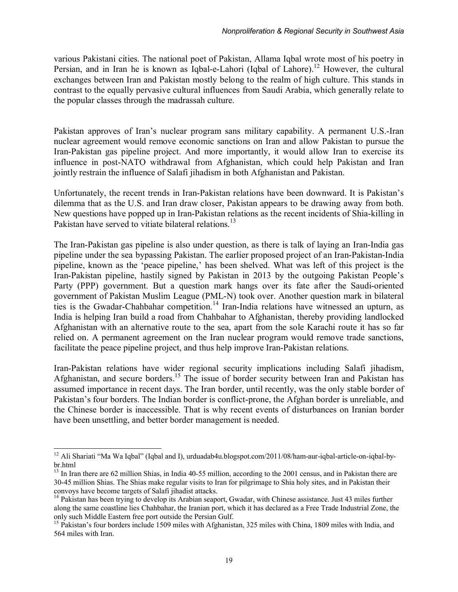various Pakistani cities. The national poet of Pakistan, Allama Iqbal wrote most of his poetry in Persian, and in Iran he is known as Iqbal-e-Lahori (Iqbal of Lahore).<sup>[12](#page-16-0)</sup> However, the cultural exchanges between Iran and Pakistan mostly belong to the realm of high culture. This stands in contrast to the equally pervasive cultural influences from Saudi Arabia, which generally relate to the popular classes through the madrassah culture.

Pakistan approves of Iran's nuclear program sans military capability. A permanent U.S.-Iran nuclear agreement would remove economic sanctions on Iran and allow Pakistan to pursue the Iran-Pakistan gas pipeline project. And more importantly, it would allow Iran to exercise its influence in post-NATO withdrawal from Afghanistan, which could help Pakistan and Iran jointly restrain the influence of Salafi jihadism in both Afghanistan and Pakistan.

Unfortunately, the recent trends in Iran-Pakistan relations have been downward. It is Pakistan's dilemma that as the U.S. and Iran draw closer, Pakistan appears to be drawing away from both. New questions have popped up in Iran-Pakistan relations as the recent incidents of Shia-killing in Pakistan have served to vitiate bilateral relations.<sup>[13](#page-16-1)</sup>

The Iran-Pakistan gas pipeline is also under question, as there is talk of laying an Iran-India gas pipeline under the sea bypassing Pakistan. The earlier proposed project of an Iran-Pakistan-India pipeline, known as the 'peace pipeline,' has been shelved. What was left of this project is the Iran-Pakistan pipeline, hastily signed by Pakistan in 2013 by the outgoing Pakistan People's Party (PPP) government. But a question mark hangs over its fate after the Saudi-oriented government of Pakistan Muslim League (PML-N) took over. Another question mark in bilateral ties is the Gwadar-Chahbahar competition.<sup>[14](#page-16-2)</sup> Iran-India relations have witnessed an upturn, as India is helping Iran build a road from Chahbahar to Afghanistan, thereby providing landlocked Afghanistan with an alternative route to the sea, apart from the sole Karachi route it has so far relied on. A permanent agreement on the Iran nuclear program would remove trade sanctions, facilitate the peace pipeline project, and thus help improve Iran-Pakistan relations.

Iran-Pakistan relations have wider regional security implications including Salafi jihadism, Afghanistan, and secure borders.[15](#page-16-3) The issue of border security between Iran and Pakistan has assumed importance in recent days. The Iran border, until recently, was the only stable border of Pakistan's four borders. The Indian border is conflict-prone, the Afghan border is unreliable, and the Chinese border is inaccessible. That is why recent events of disturbances on Iranian border have been unsettling, and better border management is needed.

<span id="page-16-0"></span><sup>&</sup>lt;sup>12</sup> Ali Shariati "Ma Wa Iqbal" (Iqbal and I), urduadab4u.blogspot.com/2011/08/ham-aur-iqbal-article-on-iqbal-bybr.html

<span id="page-16-1"></span><sup>&</sup>lt;sup>13</sup> In Iran there are 62 million Shias, in India 40-55 million, according to the 2001 census, and in Pakistan there are 30-45 million Shias. The Shias make regular visits to Iran for pilgrimage to Shia holy sites, and in Pakistan their convoys have become targets of Salafi jihadist attacks.

<span id="page-16-2"></span><sup>&</sup>lt;sup>14</sup> Pakistan has been trying to develop its Arabian seaport, Gwadar, with Chinese assistance. Just 43 miles further along the same coastline lies Chahbahar, the Iranian port, which it has declared as a Free Trade Industrial Zone, the only such Middle Eastern free port outside the Persian Gulf.

<span id="page-16-3"></span><sup>&</sup>lt;sup>15</sup> Pakistan's four borders include 1509 miles with Afghanistan, 325 miles with China, 1809 miles with India, and 564 miles with Iran.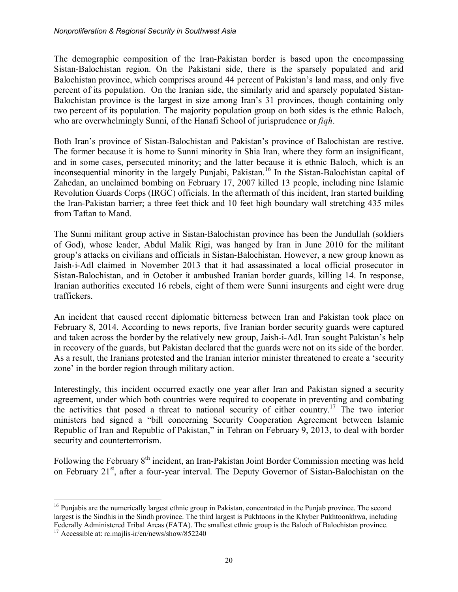The demographic composition of the Iran-Pakistan border is based upon the encompassing Sistan-Balochistan region. On the Pakistani side, there is the sparsely populated and arid Balochistan province, which comprises around 44 percent of Pakistan's land mass, and only five percent of its population. On the Iranian side, the similarly arid and sparsely populated Sistan-Balochistan province is the largest in size among Iran's 31 provinces, though containing only two percent of its population. The majority population group on both sides is the ethnic Baloch, who are overwhelmingly Sunni, of the Hanafi School of jurisprudence or *fiqh*.

Both Iran's province of Sistan-Balochistan and Pakistan's province of Balochistan are restive. The former because it is home to Sunni minority in Shia Iran, where they form an insignificant, and in some cases, persecuted minority; and the latter because it is ethnic Baloch, which is an inconsequential minority in the largely Punjabi, Pakistan.[16](#page-17-0) In the Sistan-Balochistan capital of Zahedan, an unclaimed bombing on February 17, 2007 killed 13 people, including nine Islamic Revolution Guards Corps (IRGC) officials. In the aftermath of this incident, Iran started building the Iran-Pakistan barrier; a three feet thick and 10 feet high boundary wall stretching 435 miles from Taftan to Mand.

The Sunni militant group active in Sistan-Balochistan province has been the Jundullah (soldiers of God), whose leader, Abdul Malik Rigi, was hanged by Iran in June 2010 for the militant group's attacks on civilians and officials in Sistan-Balochistan. However, a new group known as Jaish-i-Adl claimed in November 2013 that it had assassinated a local official prosecutor in Sistan-Balochistan, and in October it ambushed Iranian border guards, killing 14. In response, Iranian authorities executed 16 rebels, eight of them were Sunni insurgents and eight were drug traffickers.

An incident that caused recent diplomatic bitterness between Iran and Pakistan took place on February 8, 2014. According to news reports, five Iranian border security guards were captured and taken across the border by the relatively new group, Jaish-i-Adl. Iran sought Pakistan's help in recovery of the guards, but Pakistan declared that the guards were not on its side of the border. As a result, the Iranians protested and the Iranian interior minister threatened to create a 'security zone' in the border region through military action.

Interestingly, this incident occurred exactly one year after Iran and Pakistan signed a security agreement, under which both countries were required to cooperate in preventing and combating the activities that posed a threat to national security of either country.<sup>[17](#page-17-1)</sup> The two interior ministers had signed a "bill concerning Security Cooperation Agreement between Islamic Republic of Iran and Republic of Pakistan," in Tehran on February 9, 2013, to deal with border security and counterterrorism.

Following the February 8<sup>th</sup> incident, an Iran-Pakistan Joint Border Commission meeting was held on February 21<sup>st</sup>, after a four-year interval. The Deputy Governor of Sistan-Balochistan on the

<span id="page-17-0"></span><sup>&</sup>lt;sup>16</sup> Punjabis are the numerically largest ethnic group in Pakistan, concentrated in the Punjab province. The second largest is the Sindhis in the Sindh province. The third largest is Pukhtoons in the Khyber Pukhtoonkhwa, including Federally Administered Tribal Areas (FATA). The smallest ethnic group is the Baloch of Balochistan province.

<span id="page-17-1"></span><sup>&</sup>lt;sup>17</sup> Accessible at: rc.majlis-ir/en/news/show/852240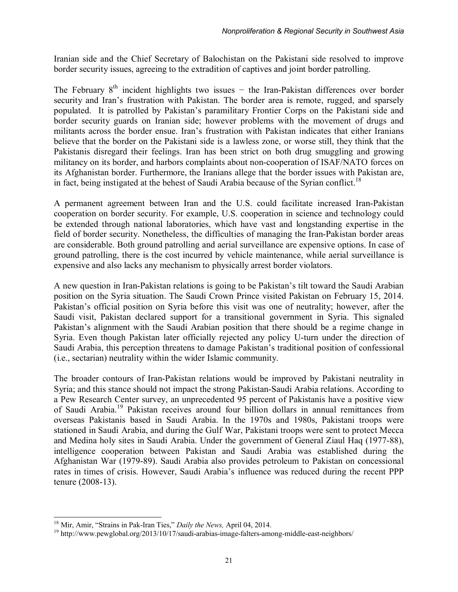Iranian side and the Chief Secretary of Balochistan on the Pakistani side resolved to improve border security issues, agreeing to the extradition of captives and joint border patrolling.

The February 8<sup>th</sup> incident highlights two issues − the Iran-Pakistan differences over border security and Iran's frustration with Pakistan. The border area is remote, rugged, and sparsely populated. It is patrolled by Pakistan's paramilitary Frontier Corps on the Pakistani side and border security guards on Iranian side; however problems with the movement of drugs and militants across the border ensue. Iran's frustration with Pakistan indicates that either Iranians believe that the border on the Pakistani side is a lawless zone, or worse still, they think that the Pakistanis disregard their feelings. Iran has been strict on both drug smuggling and growing militancy on its border, and harbors complaints about non-cooperation of ISAF/NATO forces on its Afghanistan border. Furthermore, the Iranians allege that the border issues with Pakistan are, in fact, being instigated at the behest of Saudi Arabia because of the Syrian conflict.<sup>[18](#page-18-0)</sup>

A permanent agreement between Iran and the U.S. could facilitate increased Iran-Pakistan cooperation on border security. For example, U.S. cooperation in science and technology could be extended through national laboratories, which have vast and longstanding expertise in the field of border security. Nonetheless, the difficulties of managing the Iran-Pakistan border areas are considerable. Both ground patrolling and aerial surveillance are expensive options. In case of ground patrolling, there is the cost incurred by vehicle maintenance, while aerial surveillance is expensive and also lacks any mechanism to physically arrest border violators.

A new question in Iran-Pakistan relations is going to be Pakistan's tilt toward the Saudi Arabian position on the Syria situation. The Saudi Crown Prince visited Pakistan on February 15, 2014. Pakistan's official position on Syria before this visit was one of neutrality; however, after the Saudi visit, Pakistan declared support for a transitional government in Syria. This signaled Pakistan's alignment with the Saudi Arabian position that there should be a regime change in Syria. Even though Pakistan later officially rejected any policy U-turn under the direction of Saudi Arabia, this perception threatens to damage Pakistan's traditional position of confessional (i.e., sectarian) neutrality within the wider Islamic community.

The broader contours of Iran-Pakistan relations would be improved by Pakistani neutrality in Syria; and this stance should not impact the strong Pakistan-Saudi Arabia relations. According to a Pew Research Center survey, an unprecedented 95 percent of Pakistanis have a positive view of Saudi Arabia.<sup>[19](#page-18-1)</sup> Pakistan receives around four billion dollars in annual remittances from overseas Pakistanis based in Saudi Arabia. In the 1970s and 1980s, Pakistani troops were stationed in Saudi Arabia, and during the Gulf War, Pakistani troops were sent to protect Mecca and Medina holy sites in Saudi Arabia. Under the government of General Ziaul Haq (1977-88), intelligence cooperation between Pakistan and Saudi Arabia was established during the Afghanistan War (1979-89). Saudi Arabia also provides petroleum to Pakistan on concessional rates in times of crisis. However, Saudi Arabia's influence was reduced during the recent PPP tenure (2008-13).

<span id="page-18-0"></span><sup>18</sup> Mir, Amir, "Strains in Pak-Iran Ties," *Daily the News,* April 04, 2014.

<span id="page-18-1"></span><sup>&</sup>lt;sup>19</sup> http://www.pewglobal.org/2013/10/17/saudi-arabias-image-falters-among-middle-east-neighbors/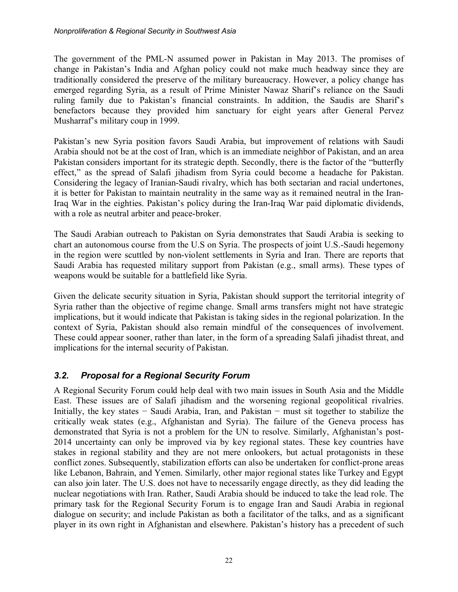The government of the PML-N assumed power in Pakistan in May 2013. The promises of change in Pakistan's India and Afghan policy could not make much headway since they are traditionally considered the preserve of the military bureaucracy. However, a policy change has emerged regarding Syria, as a result of Prime Minister Nawaz Sharif's reliance on the Saudi ruling family due to Pakistan's financial constraints. In addition, the Saudis are Sharif's benefactors because they provided him sanctuary for eight years after General Pervez Musharraf's military coup in 1999.

Pakistan's new Syria position favors Saudi Arabia, but improvement of relations with Saudi Arabia should not be at the cost of Iran, which is an immediate neighbor of Pakistan, and an area Pakistan considers important for its strategic depth. Secondly, there is the factor of the "butterfly effect," as the spread of Salafi jihadism from Syria could become a headache for Pakistan. Considering the legacy of Iranian-Saudi rivalry, which has both sectarian and racial undertones, it is better for Pakistan to maintain neutrality in the same way as it remained neutral in the Iran-Iraq War in the eighties. Pakistan's policy during the Iran-Iraq War paid diplomatic dividends, with a role as neutral arbiter and peace-broker.

The Saudi Arabian outreach to Pakistan on Syria demonstrates that Saudi Arabia is seeking to chart an autonomous course from the U.S on Syria. The prospects of joint U.S.-Saudi hegemony in the region were scuttled by non-violent settlements in Syria and Iran. There are reports that Saudi Arabia has requested military support from Pakistan (e.g., small arms). These types of weapons would be suitable for a battlefield like Syria.

Given the delicate security situation in Syria, Pakistan should support the territorial integrity of Syria rather than the objective of regime change. Small arms transfers might not have strategic implications, but it would indicate that Pakistan is taking sides in the regional polarization. In the context of Syria, Pakistan should also remain mindful of the consequences of involvement. These could appear sooner, rather than later, in the form of a spreading Salafi jihadist threat, and implications for the internal security of Pakistan.

#### <span id="page-19-0"></span>*3.2. Proposal for a Regional Security Forum*

A Regional Security Forum could help deal with two main issues in South Asia and the Middle East. These issues are of Salafi jihadism and the worsening regional geopolitical rivalries. Initially, the key states − Saudi Arabia, Iran, and Pakistan − must sit together to stabilize the critically weak states (e.g., Afghanistan and Syria). The failure of the Geneva process has demonstrated that Syria is not a problem for the UN to resolve. Similarly, Afghanistan's post-2014 uncertainty can only be improved via by key regional states. These key countries have stakes in regional stability and they are not mere onlookers, but actual protagonists in these conflict zones. Subsequently, stabilization efforts can also be undertaken for conflict-prone areas like Lebanon, Bahrain, and Yemen. Similarly, other major regional states like Turkey and Egypt can also join later. The U.S. does not have to necessarily engage directly, as they did leading the nuclear negotiations with Iran. Rather, Saudi Arabia should be induced to take the lead role. The primary task for the Regional Security Forum is to engage Iran and Saudi Arabia in regional dialogue on security; and include Pakistan as both a facilitator of the talks, and as a significant player in its own right in Afghanistan and elsewhere. Pakistan's history has a precedent of such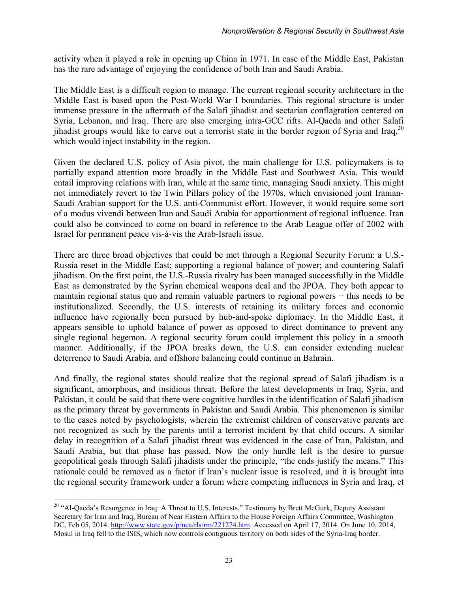activity when it played a role in opening up China in 1971. In case of the Middle East, Pakistan has the rare advantage of enjoying the confidence of both Iran and Saudi Arabia.

The Middle East is a difficult region to manage. The current regional security architecture in the Middle East is based upon the Post-World War I boundaries. This regional structure is under immense pressure in the aftermath of the Salafi jihadist and sectarian conflagration centered on Syria, Lebanon, and Iraq. There are also emerging intra-GCC rifts. Al-Qaeda and other Salafi jihadist groups would like to carve out a terrorist state in the border region of Syria and Iraq,  $^{20}$  $^{20}$  $^{20}$ which would inject instability in the region.

Given the declared U.S. policy of Asia pivot, the main challenge for U.S. policymakers is to partially expand attention more broadly in the Middle East and Southwest Asia. This would entail improving relations with Iran, while at the same time, managing Saudi anxiety. This might not immediately revert to the Twin Pillars policy of the 1970s, which envisioned joint Iranian-Saudi Arabian support for the U.S. anti-Communist effort. However, it would require some sort of a modus vivendi between Iran and Saudi Arabia for apportionment of regional influence. Iran could also be convinced to come on board in reference to the Arab League offer of 2002 with Israel for permanent peace vis-à-vis the Arab-Israeli issue.

There are three broad objectives that could be met through a Regional Security Forum: a U.S.- Russia reset in the Middle East; supporting a regional balance of power; and countering Salafi jihadism. On the first point, the U.S.-Russia rivalry has been managed successfully in the Middle East as demonstrated by the Syrian chemical weapons deal and the JPOA. They both appear to maintain regional status quo and remain valuable partners to regional powers – this needs to be institutionalized. Secondly, the U.S. interests of retaining its military forces and economic influence have regionally been pursued by hub-and-spoke diplomacy. In the Middle East, it appears sensible to uphold balance of power as opposed to direct dominance to prevent any single regional hegemon. A regional security forum could implement this policy in a smooth manner. Additionally, if the JPOA breaks down, the U.S. can consider extending nuclear deterrence to Saudi Arabia, and offshore balancing could continue in Bahrain.

And finally, the regional states should realize that the regional spread of Salafi jihadism is a significant, amorphous, and insidious threat. Before the latest developments in Iraq, Syria, and Pakistan, it could be said that there were cognitive hurdles in the identification of Salafi jihadism as the primary threat by governments in Pakistan and Saudi Arabia. This phenomenon is similar to the cases noted by psychologists, wherein the extremist children of conservative parents are not recognized as such by the parents until a terrorist incident by that child occurs. A similar delay in recognition of a Salafi jihadist threat was evidenced in the case of Iran, Pakistan, and Saudi Arabia, but that phase has passed. Now the only hurdle left is the desire to pursue geopolitical goals through Salafi jihadists under the principle, "the ends justify the means." This rationale could be removed as a factor if Iran's nuclear issue is resolved, and it is brought into the regional security framework under a forum where competing influences in Syria and Iraq, et

<span id="page-20-0"></span><sup>&</sup>lt;sup>20</sup> "Al-Qaeda's Resurgence in Iraq: A Threat to U.S. Interests," Testimony by Brett McGurk, Deputy Assistant Secretary for Iran and Iraq, Bureau of Near Eastern Affairs to the House Foreign Affairs Committee, Washington DC, Feb 05, 2014. [http://www.state.gov/p/nea/rls/rm/221274.htm.](http://www.state.gov/p/nea/rls/rm/221274.htm) Accessed on April 17, 2014. On June 10, 2014, Mosul in Iraq fell to the ISIS, which now controls contiguous territory on both sides of the Syria-Iraq border.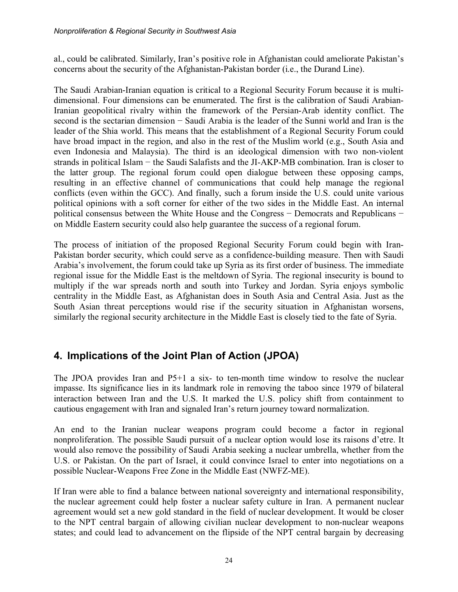al., could be calibrated. Similarly, Iran's positive role in Afghanistan could ameliorate Pakistan's concerns about the security of the Afghanistan-Pakistan border (i.e., the Durand Line).

The Saudi Arabian-Iranian equation is critical to a Regional Security Forum because it is multidimensional. Four dimensions can be enumerated. The first is the calibration of Saudi Arabian-Iranian geopolitical rivalry within the framework of the Persian-Arab identity conflict. The second is the sectarian dimension – Saudi Arabia is the leader of the Sunni world and Iran is the leader of the Shia world. This means that the establishment of a Regional Security Forum could have broad impact in the region, and also in the rest of the Muslim world (e.g., South Asia and even Indonesia and Malaysia). The third is an ideological dimension with two non-violent strands in political Islam − the Saudi Salafists and the JI-AKP-MB combination. Iran is closer to the latter group. The regional forum could open dialogue between these opposing camps, resulting in an effective channel of communications that could help manage the regional conflicts (even within the GCC). And finally, such a forum inside the U.S. could unite various political opinions with a soft corner for either of the two sides in the Middle East. An internal political consensus between the White House and the Congress − Democrats and Republicans − on Middle Eastern security could also help guarantee the success of a regional forum.

The process of initiation of the proposed Regional Security Forum could begin with Iran-Pakistan border security, which could serve as a confidence-building measure. Then with Saudi Arabia's involvement, the forum could take up Syria as its first order of business. The immediate regional issue for the Middle East is the meltdown of Syria. The regional insecurity is bound to multiply if the war spreads north and south into Turkey and Jordan. Syria enjoys symbolic centrality in the Middle East, as Afghanistan does in South Asia and Central Asia. Just as the South Asian threat perceptions would rise if the security situation in Afghanistan worsens, similarly the regional security architecture in the Middle East is closely tied to the fate of Syria.

## <span id="page-21-0"></span>**4. Implications of the Joint Plan of Action (JPOA)**

The JPOA provides Iran and P5+1 a six- to ten-month time window to resolve the nuclear impasse. Its significance lies in its landmark role in removing the taboo since 1979 of bilateral interaction between Iran and the U.S. It marked the U.S. policy shift from containment to cautious engagement with Iran and signaled Iran's return journey toward normalization.

An end to the Iranian nuclear weapons program could become a factor in regional nonproliferation. The possible Saudi pursuit of a nuclear option would lose its raisons d'etre. It would also remove the possibility of Saudi Arabia seeking a nuclear umbrella, whether from the U.S. or Pakistan. On the part of Israel, it could convince Israel to enter into negotiations on a possible Nuclear-Weapons Free Zone in the Middle East (NWFZ-ME).

If Iran were able to find a balance between national sovereignty and international responsibility, the nuclear agreement could help foster a nuclear safety culture in Iran. A permanent nuclear agreement would set a new gold standard in the field of nuclear development. It would be closer to the NPT central bargain of allowing civilian nuclear development to non-nuclear weapons states; and could lead to advancement on the flipside of the NPT central bargain by decreasing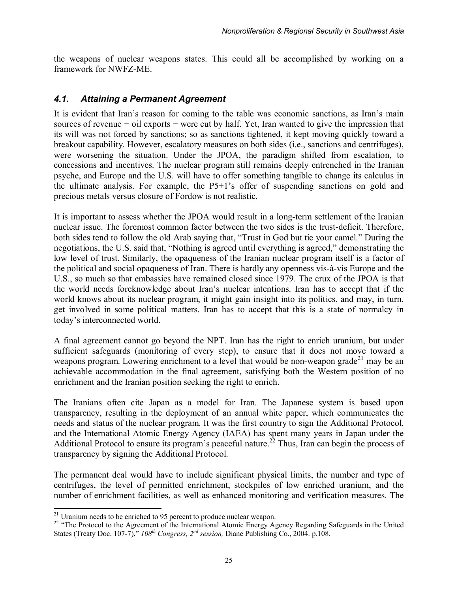the weapons of nuclear weapons states. This could all be accomplished by working on a framework for NWFZ-ME.

#### <span id="page-22-0"></span>*4.1. Attaining a Permanent Agreement*

It is evident that Iran's reason for coming to the table was economic sanctions, as Iran's main sources of revenue – oil exports – were cut by half. Yet, Iran wanted to give the impression that its will was not forced by sanctions; so as sanctions tightened, it kept moving quickly toward a breakout capability. However, escalatory measures on both sides (i.e., sanctions and centrifuges), were worsening the situation. Under the JPOA, the paradigm shifted from escalation, to concessions and incentives. The nuclear program still remains deeply entrenched in the Iranian psyche, and Europe and the U.S. will have to offer something tangible to change its calculus in the ultimate analysis. For example, the P5+1's offer of suspending sanctions on gold and precious metals versus closure of Fordow is not realistic.

It is important to assess whether the JPOA would result in a long-term settlement of the Iranian nuclear issue. The foremost common factor between the two sides is the trust-deficit. Therefore, both sides tend to follow the old Arab saying that, "Trust in God but tie your camel." During the negotiations, the U.S. said that, "Nothing is agreed until everything is agreed," demonstrating the low level of trust. Similarly, the opaqueness of the Iranian nuclear program itself is a factor of the political and social opaqueness of Iran. There is hardly any openness vis-à-vis Europe and the U.S., so much so that embassies have remained closed since 1979. The crux of the JPOA is that the world needs foreknowledge about Iran's nuclear intentions. Iran has to accept that if the world knows about its nuclear program, it might gain insight into its politics, and may, in turn, get involved in some political matters. Iran has to accept that this is a state of normalcy in today's interconnected world.

A final agreement cannot go beyond the NPT. Iran has the right to enrich uranium, but under sufficient safeguards (monitoring of every step), to ensure that it does not move toward a weapons program. Lowering enrichment to a level that would be non-weapon grade<sup>[21](#page-22-1)</sup> may be an achievable accommodation in the final agreement, satisfying both the Western position of no enrichment and the Iranian position seeking the right to enrich.

The Iranians often cite Japan as a model for Iran. The Japanese system is based upon transparency, resulting in the deployment of an annual white paper, which communicates the needs and status of the nuclear program. It was the first country to sign the Additional Protocol, and the International Atomic Energy Agency (IAEA) has spent many years in Japan under the Additional Protocol to ensure its program's peaceful nature.<sup>[22](#page-22-2)</sup> Thus, Iran can begin the process of transparency by signing the Additional Protocol.

The permanent deal would have to include significant physical limits, the number and type of centrifuges, the level of permitted enrichment, stockpiles of low enriched uranium, and the number of enrichment facilities, as well as enhanced monitoring and verification measures. The

 $\overline{a}$ 

<span id="page-22-1"></span> $21$  Uranium needs to be enriched to 95 percent to produce nuclear weapon.

<span id="page-22-2"></span><sup>&</sup>lt;sup>22</sup> "The Protocol to the Agreement of the International Atomic Energy Agency Regarding Safeguards in the United States (Treaty Doc. 107-7)," *108th Congress, 2nd session,* Diane Publishing Co., 2004. p.108.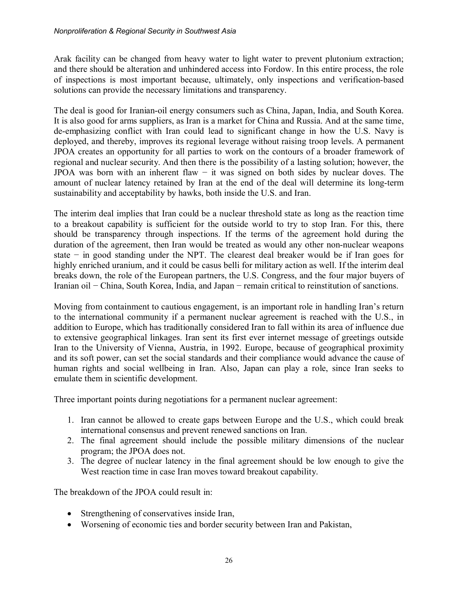Arak facility can be changed from heavy water to light water to prevent plutonium extraction; and there should be alteration and unhindered access into Fordow. In this entire process, the role of inspections is most important because, ultimately, only inspections and verification-based solutions can provide the necessary limitations and transparency.

The deal is good for Iranian-oil energy consumers such as China, Japan, India, and South Korea. It is also good for arms suppliers, as Iran is a market for China and Russia. And at the same time, de-emphasizing conflict with Iran could lead to significant change in how the U.S. Navy is deployed, and thereby, improves its regional leverage without raising troop levels. A permanent JPOA creates an opportunity for all parties to work on the contours of a broader framework of regional and nuclear security. And then there is the possibility of a lasting solution; however, the JPOA was born with an inherent flaw − it was signed on both sides by nuclear doves. The amount of nuclear latency retained by Iran at the end of the deal will determine its long-term sustainability and acceptability by hawks, both inside the U.S. and Iran.

The interim deal implies that Iran could be a nuclear threshold state as long as the reaction time to a breakout capability is sufficient for the outside world to try to stop Iran. For this, there should be transparency through inspections. If the terms of the agreement hold during the duration of the agreement, then Iran would be treated as would any other non-nuclear weapons state − in good standing under the NPT. The clearest deal breaker would be if Iran goes for highly enriched uranium, and it could be casus belli for military action as well. If the interim deal breaks down, the role of the European partners, the U.S. Congress, and the four major buyers of Iranian oil − China, South Korea, India, and Japan − remain critical to reinstitution of sanctions.

Moving from containment to cautious engagement, is an important role in handling Iran's return to the international community if a permanent nuclear agreement is reached with the U.S., in addition to Europe, which has traditionally considered Iran to fall within its area of influence due to extensive geographical linkages. Iran sent its first ever internet message of greetings outside Iran to the University of Vienna, Austria, in 1992. Europe, because of geographical proximity and its soft power, can set the social standards and their compliance would advance the cause of human rights and social wellbeing in Iran. Also, Japan can play a role, since Iran seeks to emulate them in scientific development.

Three important points during negotiations for a permanent nuclear agreement:

- 1. Iran cannot be allowed to create gaps between Europe and the U.S., which could break international consensus and prevent renewed sanctions on Iran.
- 2. The final agreement should include the possible military dimensions of the nuclear program; the JPOA does not.
- 3. The degree of nuclear latency in the final agreement should be low enough to give the West reaction time in case Iran moves toward breakout capability.

The breakdown of the JPOA could result in:

- Strengthening of conservatives inside Iran,
- Worsening of economic ties and border security between Iran and Pakistan,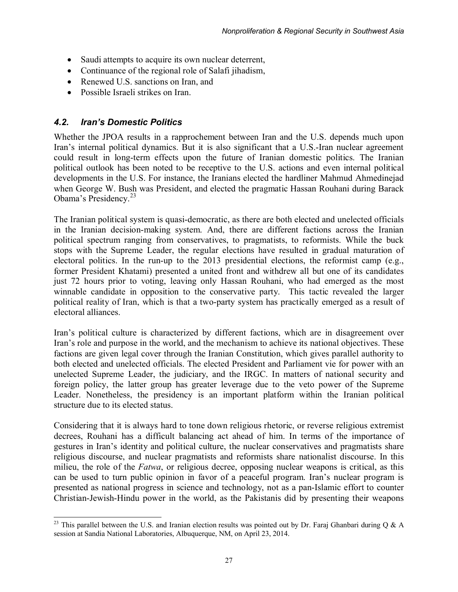- Saudi attempts to acquire its own nuclear deterrent,
- Continuance of the regional role of Salafi jihadism,
- Renewed U.S. sanctions on Iran, and
- Possible Israeli strikes on Iran.

#### <span id="page-24-0"></span>*4.2. Iran's Domestic Politics*

Whether the JPOA results in a rapprochement between Iran and the U.S. depends much upon Iran's internal political dynamics. But it is also significant that a U.S.-Iran nuclear agreement could result in long-term effects upon the future of Iranian domestic politics. The Iranian political outlook has been noted to be receptive to the U.S. actions and even internal political developments in the U.S. For instance, the Iranians elected the hardliner Mahmud Ahmedinejad when George W. Bush was President, and elected the pragmatic Hassan Rouhani during Barack Obama's Presidency.<sup>[23](#page-24-1)</sup>

The Iranian political system is quasi-democratic, as there are both elected and unelected officials in the Iranian decision-making system. And, there are different factions across the Iranian political spectrum ranging from conservatives, to pragmatists, to reformists. While the buck stops with the Supreme Leader, the regular elections have resulted in gradual maturation of electoral politics. In the run-up to the 2013 presidential elections, the reformist camp (e.g., former President Khatami) presented a united front and withdrew all but one of its candidates just 72 hours prior to voting, leaving only Hassan Rouhani, who had emerged as the most winnable candidate in opposition to the conservative party. This tactic revealed the larger political reality of Iran, which is that a two-party system has practically emerged as a result of electoral alliances.

Iran's political culture is characterized by different factions, which are in disagreement over Iran's role and purpose in the world, and the mechanism to achieve its national objectives. These factions are given legal cover through the Iranian Constitution, which gives parallel authority to both elected and unelected officials. The elected President and Parliament vie for power with an unelected Supreme Leader, the judiciary, and the IRGC. In matters of national security and foreign policy, the latter group has greater leverage due to the veto power of the Supreme Leader. Nonetheless, the presidency is an important platform within the Iranian political structure due to its elected status.

Considering that it is always hard to tone down religious rhetoric, or reverse religious extremist decrees, Rouhani has a difficult balancing act ahead of him. In terms of the importance of gestures in Iran's identity and political culture, the nuclear conservatives and pragmatists share religious discourse, and nuclear pragmatists and reformists share nationalist discourse. In this milieu, the role of the *Fatwa*, or religious decree, opposing nuclear weapons is critical, as this can be used to turn public opinion in favor of a peaceful program. Iran's nuclear program is presented as national progress in science and technology, not as a pan-Islamic effort to counter Christian-Jewish-Hindu power in the world, as the Pakistanis did by presenting their weapons

<span id="page-24-1"></span> $\overline{\phantom{a}}$ <sup>23</sup> This parallel between the U.S. and Iranian election results was pointed out by Dr. Faraj Ghanbari during Q & A session at Sandia National Laboratories, Albuquerque, NM, on April 23, 2014.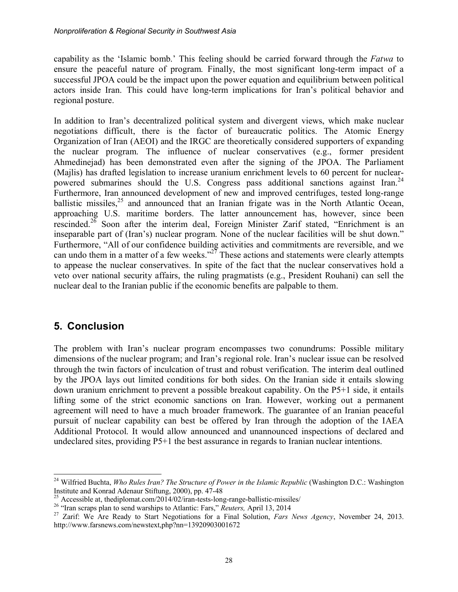capability as the 'Islamic bomb.' This feeling should be carried forward through the *Fatwa* to ensure the peaceful nature of program. Finally, the most significant long-term impact of a successful JPOA could be the impact upon the power equation and equilibrium between political actors inside Iran. This could have long-term implications for Iran's political behavior and regional posture.

In addition to Iran's decentralized political system and divergent views, which make nuclear negotiations difficult, there is the factor of bureaucratic politics. The Atomic Energy Organization of Iran (AEOI) and the IRGC are theoretically considered supporters of expanding the nuclear program. The influence of nuclear conservatives (e.g., former president Ahmedinejad) has been demonstrated even after the signing of the JPOA. The Parliament (Majlis) has drafted legislation to increase uranium enrichment levels to 60 percent for nuclear-powered submarines should the U.S. Congress pass additional sanctions against Iran.<sup>[24](#page-25-1)</sup> Furthermore, Iran announced development of new and improved centrifuges, tested long-range ballistic missiles,  $25$  and announced that an Iranian frigate was in the North Atlantic Ocean, approaching U.S. maritime borders. The latter announcement has, however, since been rescinded.<sup>[26](#page-25-3)</sup> Soon after the interim deal, Foreign Minister Zarif stated, "Enrichment is an inseparable part of (Iran's) nuclear program. None of the nuclear facilities will be shut down." Furthermore, "All of our confidence building activities and commitments are reversible, and we can undo them in a matter of a few weeks." $2^7$  These actions and statements were clearly attempts to appease the nuclear conservatives. In spite of the fact that the nuclear conservatives hold a veto over national security affairs, the ruling pragmatists (e.g., President Rouhani) can sell the nuclear deal to the Iranian public if the economic benefits are palpable to them.

## <span id="page-25-0"></span>**5. Conclusion**

 $\overline{\phantom{a}}$ 

The problem with Iran's nuclear program encompasses two conundrums: Possible military dimensions of the nuclear program; and Iran's regional role. Iran's nuclear issue can be resolved through the twin factors of inculcation of trust and robust verification. The interim deal outlined by the JPOA lays out limited conditions for both sides. On the Iranian side it entails slowing down uranium enrichment to prevent a possible breakout capability. On the P5+1 side, it entails lifting some of the strict economic sanctions on Iran. However, working out a permanent agreement will need to have a much broader framework. The guarantee of an Iranian peaceful pursuit of nuclear capability can best be offered by Iran through the adoption of the IAEA Additional Protocol. It would allow announced and unannounced inspections of declared and undeclared sites, providing P5+1 the best assurance in regards to Iranian nuclear intentions.

<span id="page-25-1"></span><sup>&</sup>lt;sup>24</sup> Wilfried Buchta, *Who Rules Iran? The Structure of Power in the Islamic Republic* (Washington D.C.: Washington Institute and Konrad Adenaur Stiftung, 2000), pp. 47-48

<span id="page-25-2"></span><sup>&</sup>lt;sup>25</sup> Accessible at, thediplomat.com/2014/02/iran-tests-long-range-ballistic-missiles/

<span id="page-25-3"></span><sup>26</sup> "Iran scraps plan to send warships to Atlantic: Fars," *Reuters,* April 13, 2014

<span id="page-25-4"></span><sup>27</sup> Zarif: We Are Ready to Start Negotiations for a Final Solution, *Fars News Agency*, November 24, 2013. http://www.farsnews.com/newstext,php?nn=13920903001672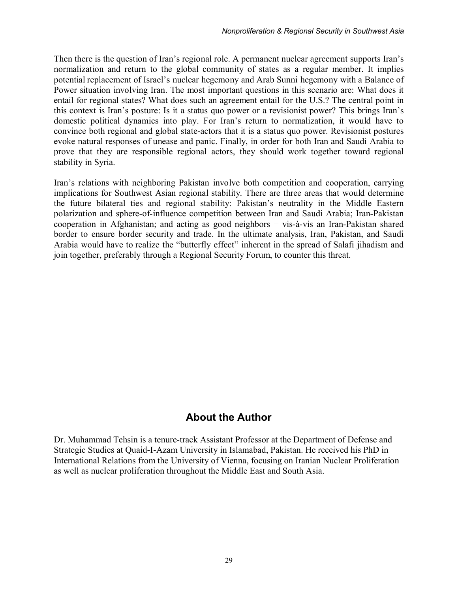Then there is the question of Iran's regional role. A permanent nuclear agreement supports Iran's normalization and return to the global community of states as a regular member. It implies potential replacement of Israel's nuclear hegemony and Arab Sunni hegemony with a Balance of Power situation involving Iran. The most important questions in this scenario are: What does it entail for regional states? What does such an agreement entail for the U.S.? The central point in this context is Iran's posture: Is it a status quo power or a revisionist power? This brings Iran's domestic political dynamics into play. For Iran's return to normalization, it would have to convince both regional and global state-actors that it is a status quo power. Revisionist postures evoke natural responses of unease and panic. Finally, in order for both Iran and Saudi Arabia to prove that they are responsible regional actors, they should work together toward regional stability in Syria.

Iran's relations with neighboring Pakistan involve both competition and cooperation, carrying implications for Southwest Asian regional stability. There are three areas that would determine the future bilateral ties and regional stability: Pakistan's neutrality in the Middle Eastern polarization and sphere-of-influence competition between Iran and Saudi Arabia; Iran-Pakistan cooperation in Afghanistan; and acting as good neighbors − vis-à-vis an Iran-Pakistan shared border to ensure border security and trade. In the ultimate analysis, Iran, Pakistan, and Saudi Arabia would have to realize the "butterfly effect" inherent in the spread of Salafi jihadism and join together, preferably through a Regional Security Forum, to counter this threat.

## **About the Author**

<span id="page-26-0"></span>Dr. Muhammad Tehsin is a tenure-track Assistant Professor at the Department of Defense and Strategic Studies at Quaid-I-Azam University in Islamabad, Pakistan. He received his PhD in International Relations from the University of Vienna, focusing on Iranian Nuclear Proliferation as well as nuclear proliferation throughout the Middle East and South Asia.